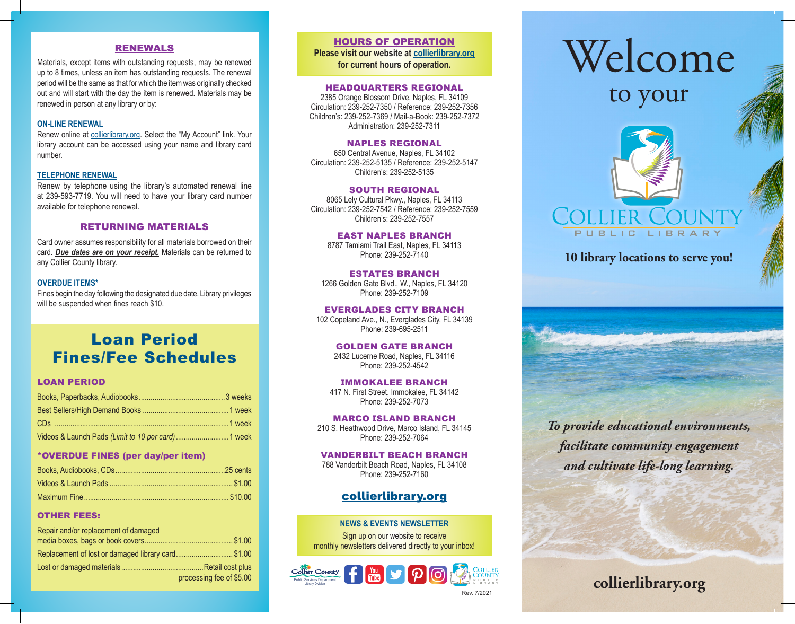#### RENEWALS

Materials, except items with outstanding requests, may be renewed up to 8 times, unless an item has outstanding requests. The renewal period will be the same as that for which the item was originally checked out and will start with the day the item is renewed. Materials may be renewed in person at any library or by:

#### **ON-LINE RENEWAL**

Renew online at collierlibrary.org. Select the "My Account" link. Your library account can be accessed using your name and library card number.

#### **TELEPHONE RENEWAL**

Renew by telephone using the library's automated renewal line at 239-593-7719. You will need to have your library card number available for telephone renewal.

#### RETURNING MATERIALS

Card owner assumes responsibility for all materials borrowed on their card. *Due dates are on your receipt.* Materials can be returned to any Collier County library.

#### **OVERDUE ITEMS\***

Fines begin the day following the designated due date. Library privileges will be suspended when fines reach \$10.

# Loan Period Fines/Fee Schedules

#### LOAN PERIOD

| Videos & Launch Pads (Limit to 10 per card)  1 week |  |
|-----------------------------------------------------|--|

#### \*OVERDUE FINES (per day/per item)

#### OTHER FEES:

| Repair and/or replacement of damaged              |                          |  |
|---------------------------------------------------|--------------------------|--|
|                                                   |                          |  |
| Replacement of lost or damaged library card\$1.00 |                          |  |
|                                                   |                          |  |
|                                                   | processing fee of \$5.00 |  |

# HOURS OF OPERATION

**Please visit our website at collierlibrary.org for current hours of operation.**

#### HEADQUARTERS REGIONAL

2385 Orange Blossom Drive, Naples, FL 34109 Circulation: 239-252-7350 / Reference: 239-252-7356 Children's: 239-252-7369 / Mail-a-Book: 239-252-7372 Administration: 239-252-7311

#### NAPLES REGIONAL

650 Central Avenue, Naples, FL 34102 Circulation: 239-252-5135 / Reference: 239-252-5147 Children's: 239-252-5135

#### SOUTH REGIONAL

8065 Lely Cultural Pkwy., Naples, FL 34113 Circulation: 239-252-7542 / Reference: 239-252-7559 Children's: 239-252-7557

#### EAST NAPLES BRANCH

8787 Tamiami Trail East, Naples, FL 34113 Phone: 239-252-7140

# ESTATES BRANCH

1266 Golden Gate Blvd., W., Naples, FL 34120 Phone: 239-252-7109

EVERGLADES CITY BRANCH 102 Copeland Ave., N., Everglades City, FL 34139 Phone: 239-695-2511

#### GOLDEN GATE BRANCH

2432 Lucerne Road, Naples, FL 34116 Phone: 239-252-4542

#### IMMOKALEE BRANCH

417 N. First Street, Immokalee, FL 34142 Phone: 239-252-7073

## MARCO ISLAND BRANCH 210 S. Heathwood Drive, Marco Island, FL 34145

Phone: 239-252-7064

#### VANDERBILT BEACH BRANCH 788 Vanderbilt Beach Road, Naples, FL 34108

Phone: 239-252-7160

# collierlibrary.org

#### **NEWS & EVENTS NEWSLETTER**

Sign up on our website to receive monthly newsletters delivered directly to your inbox!



# Welcome

to your

**10 library locations to serve you!**

PUBLIC LIBRAR

*To provide educational environments, facilitate community engagement and cultivate life-long learning.*

# **collierlibrary.org**